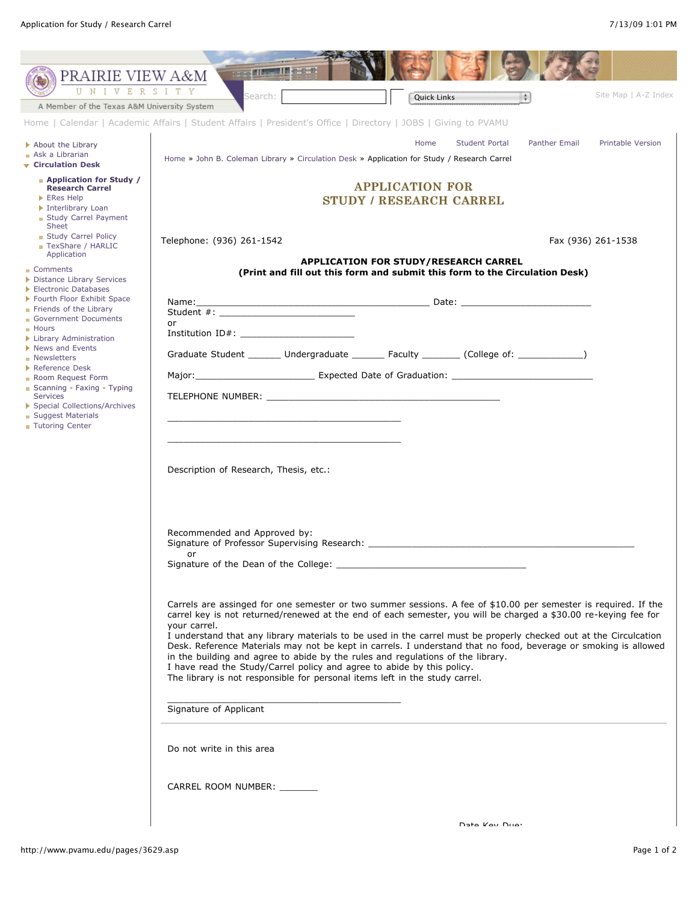| PRAIRIE VIEW A&M<br>U N<br>IVERSI                                                                                                                                                                                                                 | <b>Case of Them III case</b><br>T Y                                                                                                                                                                                                                                                                                                                                                                                                                                                                                                                                                                                                                                                                                                    |  |
|---------------------------------------------------------------------------------------------------------------------------------------------------------------------------------------------------------------------------------------------------|----------------------------------------------------------------------------------------------------------------------------------------------------------------------------------------------------------------------------------------------------------------------------------------------------------------------------------------------------------------------------------------------------------------------------------------------------------------------------------------------------------------------------------------------------------------------------------------------------------------------------------------------------------------------------------------------------------------------------------------|--|
| A Member of the Texas A&M University System                                                                                                                                                                                                       | Site Map   A-Z Index<br>Search:<br>$\left  \frac{1}{2} \right $<br><b>Quick Links</b>                                                                                                                                                                                                                                                                                                                                                                                                                                                                                                                                                                                                                                                  |  |
|                                                                                                                                                                                                                                                   | Home   Calendar   Academic Affairs   Student Affairs   President's Office   Directory   JOBS   Giving to PVAMU                                                                                                                                                                                                                                                                                                                                                                                                                                                                                                                                                                                                                         |  |
| About the Library<br>Ask a Librarian                                                                                                                                                                                                              | Home<br>Student Portal<br>Panther Email<br>Printable Version<br>Home » John B. Coleman Library » Circulation Desk » Application for Study / Research Carrel                                                                                                                                                                                                                                                                                                                                                                                                                                                                                                                                                                            |  |
| $\overline{\phantom{a}}$ Circulation Desk<br>• Application for Study /<br><b>Research Carrel</b><br>ERes Help<br>Interlibrary Loan<br>Study Carrel Payment<br>Sheet                                                                               | <b>APPLICATION FOR</b><br><b>STUDY / RESEARCH CARREL</b>                                                                                                                                                                                                                                                                                                                                                                                                                                                                                                                                                                                                                                                                               |  |
| Study Carrel Policy<br>TexShare / HARLIC<br>Application<br>■ Comments<br>Distance Library Services<br>Electronic Databases<br>Fourth Floor Exhibit Space                                                                                          | Telephone: (936) 261-1542<br>Fax (936) 261-1538<br><b>APPLICATION FOR STUDY/RESEARCH CARREL</b><br>(Print and fill out this form and submit this form to the Circulation Desk)                                                                                                                                                                                                                                                                                                                                                                                                                                                                                                                                                         |  |
|                                                                                                                                                                                                                                                   |                                                                                                                                                                                                                                                                                                                                                                                                                                                                                                                                                                                                                                                                                                                                        |  |
| Friends of the Library<br>Government Documents                                                                                                                                                                                                    | or                                                                                                                                                                                                                                                                                                                                                                                                                                                                                                                                                                                                                                                                                                                                     |  |
| <b>Hours</b><br>Library Administration<br>News and Events<br>• Newsletters<br>Reference Desk<br>Room Request Form<br>Scanning - Faxing - Typing<br>Services<br>Special Collections/Archives<br><b>Suggest Materials</b><br><b>Tutoring Center</b> | Institution ID#:                                                                                                                                                                                                                                                                                                                                                                                                                                                                                                                                                                                                                                                                                                                       |  |
|                                                                                                                                                                                                                                                   | Graduate Student _______ Undergraduate _______ Faculty ________ (College of: ____________)                                                                                                                                                                                                                                                                                                                                                                                                                                                                                                                                                                                                                                             |  |
|                                                                                                                                                                                                                                                   |                                                                                                                                                                                                                                                                                                                                                                                                                                                                                                                                                                                                                                                                                                                                        |  |
|                                                                                                                                                                                                                                                   | TELEPHONE NUMBER: New York and the state of the state of the state of the state of the state of the state of the state of the state of the state of the state of the state of the state of the state of the state of the state                                                                                                                                                                                                                                                                                                                                                                                                                                                                                                         |  |
|                                                                                                                                                                                                                                                   | Description of Research, Thesis, etc.:                                                                                                                                                                                                                                                                                                                                                                                                                                                                                                                                                                                                                                                                                                 |  |
|                                                                                                                                                                                                                                                   | Recommended and Approved by:<br>Signature of Professor Supervising Research: Networkship and the state of the state of the state of the state of the state of the state of the state of the state of the state of the state of the state of the state of the s<br>or<br>Signature of the Dean of the College: _                                                                                                                                                                                                                                                                                                                                                                                                                        |  |
|                                                                                                                                                                                                                                                   | Carrels are assinged for one semester or two summer sessions. A fee of \$10.00 per semester is required. If the<br>carrel key is not returned/renewed at the end of each semester, you will be charged a \$30.00 re-keying fee for<br>your carrel.<br>I understand that any library materials to be used in the carrel must be properly checked out at the Circulcation<br>Desk. Reference Materials may not be kept in carrels. I understand that no food, beverage or smoking is allowed<br>in the building and agree to abide by the rules and regulations of the library.<br>I have read the Study/Carrel policy and agree to abide by this policy.<br>The library is not responsible for personal items left in the study carrel. |  |
|                                                                                                                                                                                                                                                   | Signature of Applicant                                                                                                                                                                                                                                                                                                                                                                                                                                                                                                                                                                                                                                                                                                                 |  |
|                                                                                                                                                                                                                                                   | Do not write in this area                                                                                                                                                                                                                                                                                                                                                                                                                                                                                                                                                                                                                                                                                                              |  |
|                                                                                                                                                                                                                                                   | CARREL ROOM NUMBER: _______                                                                                                                                                                                                                                                                                                                                                                                                                                                                                                                                                                                                                                                                                                            |  |
|                                                                                                                                                                                                                                                   | Data Koy Duar                                                                                                                                                                                                                                                                                                                                                                                                                                                                                                                                                                                                                                                                                                                          |  |